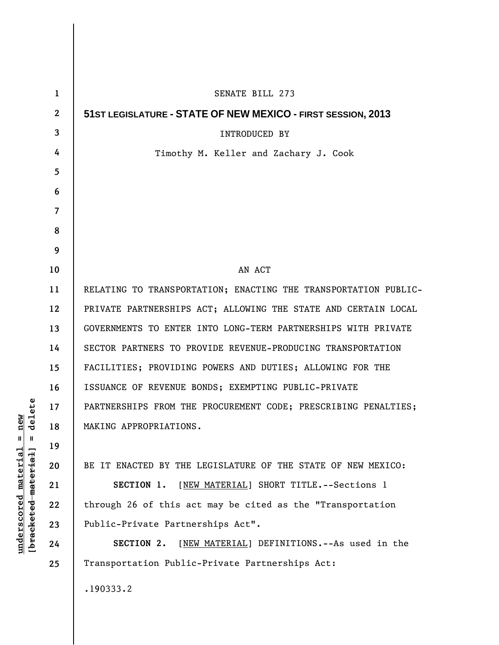| 1            | SENATE BILL 273                                                 |
|--------------|-----------------------------------------------------------------|
| $\mathbf{2}$ | 51ST LEGISLATURE - STATE OF NEW MEXICO - FIRST SESSION, 2013    |
| 3            | <b>INTRODUCED BY</b>                                            |
| 4            | Timothy M. Keller and Zachary J. Cook                           |
| 5            |                                                                 |
| 6            |                                                                 |
| 7            |                                                                 |
| 8            |                                                                 |
| 9            |                                                                 |
| 10           | AN ACT                                                          |
| 11           | RELATING TO TRANSPORTATION; ENACTING THE TRANSPORTATION PUBLIC- |
| 12           | PRIVATE PARTNERSHIPS ACT; ALLOWING THE STATE AND CERTAIN LOCAL  |
| 13           | GOVERNMENTS TO ENTER INTO LONG-TERM PARTNERSHIPS WITH PRIVATE   |
| 14           | SECTOR PARTNERS TO PROVIDE REVENUE-PRODUCING TRANSPORTATION     |
| 15           | FACILITIES; PROVIDING POWERS AND DUTIES; ALLOWING FOR THE       |
| 16           | ISSUANCE OF REVENUE BONDS; EXEMPTING PUBLIC-PRIVATE             |
| 17           | PARTNERSHIPS FROM THE PROCUREMENT CODE; PRESCRIBING PENALTIES;  |
| 18           | MAKING APPROPRIATIONS.                                          |
| 19           |                                                                 |
| 20           | BE IT ENACTED BY THE LEGISLATURE OF THE STATE OF NEW MEXICO:    |
| 21           | SECTION 1. [NEW MATERIAL] SHORT TITLE. -- Sections 1            |
| 22           | through 26 of this act may be cited as the "Transportation      |
| 23           | Public-Private Partnerships Act".                               |
| 24           | [NEW MATERIAL] DEFINITIONS. -- As used in the<br>SECTION 2.     |
| 25           | Transportation Public-Private Partnerships Act:                 |
|              | .190333.2                                                       |

 $[**bracket eted metert et**] = **del et e**$ **[bracketed material] = delete**  $underscored material = new$ **underscored material = new**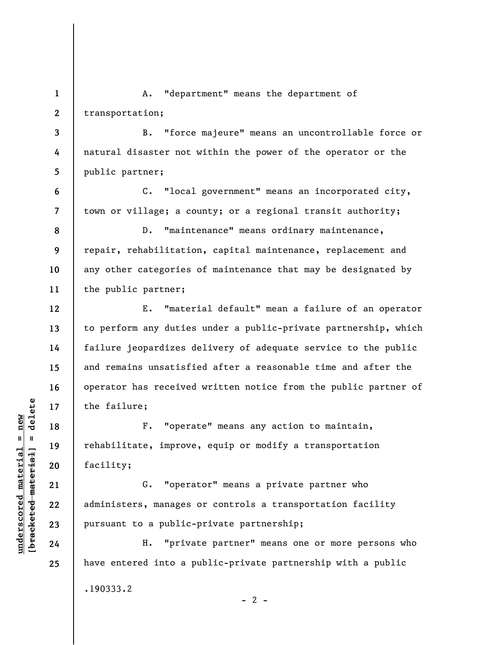**1 2 3 4 5 6 7 8 9 10 11 12 13 14 15 16 17 18 19 20 21 22 23 24 25**  A. "department" means the department of transportation; B. "force majeure" means an uncontrollable force or natural disaster not within the power of the operator or the public partner; C. "local government" means an incorporated city, town or village; a county; or a regional transit authority; D. "maintenance" means ordinary maintenance, repair, rehabilitation, capital maintenance, replacement and any other categories of maintenance that may be designated by the public partner; E. "material default" mean a failure of an operator to perform any duties under a public-private partnership, which failure jeopardizes delivery of adequate service to the public and remains unsatisfied after a reasonable time and after the operator has received written notice from the public partner of the failure; F. "operate" means any action to maintain, rehabilitate, improve, equip or modify a transportation facility; G. "operator" means a private partner who administers, manages or controls a transportation facility pursuant to a public-private partnership; H. "private partner" means one or more persons who have entered into a public-private partnership with a public

.190333.2

 $\frac{1}{2}$  intereted material = delete **[bracketed material] = delete**  $underscored material = new$ **underscored material = new**

 $- 2 -$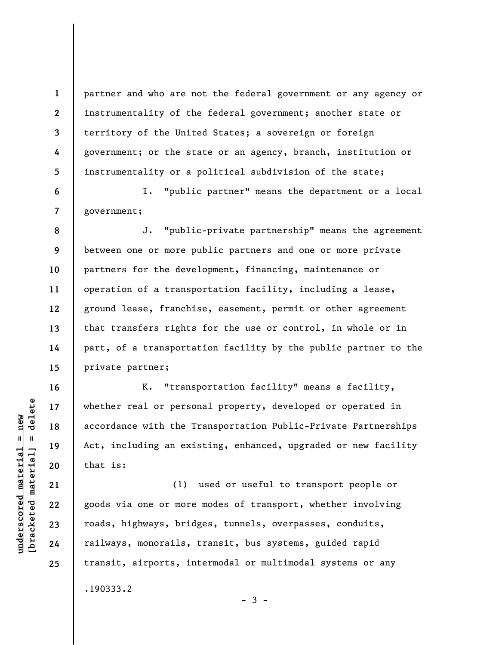partner and who are not the federal government or any agency or instrumentality of the federal government; another state or territory of the United States; a sovereign or foreign government; or the state or an agency, branch, institution or instrumentality or a political subdivision of the state;

I. "public partner" means the department or a local government;

**8 9 10 11 12 13 14 15**  J. "public-private partnership" means the agreement between one or more public partners and one or more private partners for the development, financing, maintenance or operation of a transportation facility, including a lease, ground lease, franchise, easement, permit or other agreement that transfers rights for the use or control, in whole or in part, of a transportation facility by the public partner to the private partner;

K. "transportation facility" means a facility, whether real or personal property, developed or operated in accordance with the Transportation Public-Private Partnerships Act, including an existing, enhanced, upgraded or new facility that is:

(1) used or useful to transport people or goods via one or more modes of transport, whether involving roads, highways, bridges, tunnels, overpasses, conduits, railways, monorails, transit, bus systems, guided rapid transit, airports, intermodal or multimodal systems or any .190333.2

 $-3 -$ 

**1** 

**2** 

**3** 

**4** 

**5** 

**6** 

**7** 

**16** 

**17** 

**18** 

**19** 

**20** 

**21** 

**22** 

**23** 

**24**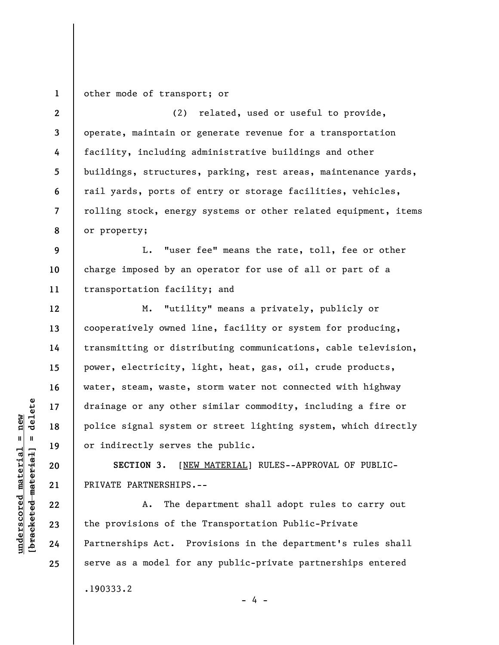**1**  other mode of transport; or

**2 3 4 5 6 7 8**  (2) related, used or useful to provide, operate, maintain or generate revenue for a transportation facility, including administrative buildings and other buildings, structures, parking, rest areas, maintenance yards, rail yards, ports of entry or storage facilities, vehicles, rolling stock, energy systems or other related equipment, items or property;

**9 10 11**  L. "user fee" means the rate, toll, fee or other charge imposed by an operator for use of all or part of a transportation facility; and

M. "utility" means a privately, publicly or cooperatively owned line, facility or system for producing, transmitting or distributing communications, cable television, power, electricity, light, heat, gas, oil, crude products, water, steam, waste, storm water not connected with highway drainage or any other similar commodity, including a fire or police signal system or street lighting system, which directly or indirectly serves the public.

**SECTION 3.** [NEW MATERIAL] RULES--APPROVAL OF PUBLIC-PRIVATE PARTNERSHIPS.--

A. The department shall adopt rules to carry out the provisions of the Transportation Public-Private Partnerships Act. Provisions in the department's rules shall serve as a model for any public-private partnerships entered .190333.2

- 4 -

 $b$ racketed material] = delete **[bracketed material] = delete**  $underscored material = new$ **underscored material = new**

**12** 

**13** 

**14** 

**15** 

**16** 

**17** 

**18** 

**19** 

**20** 

**21** 

**22** 

**23** 

**24**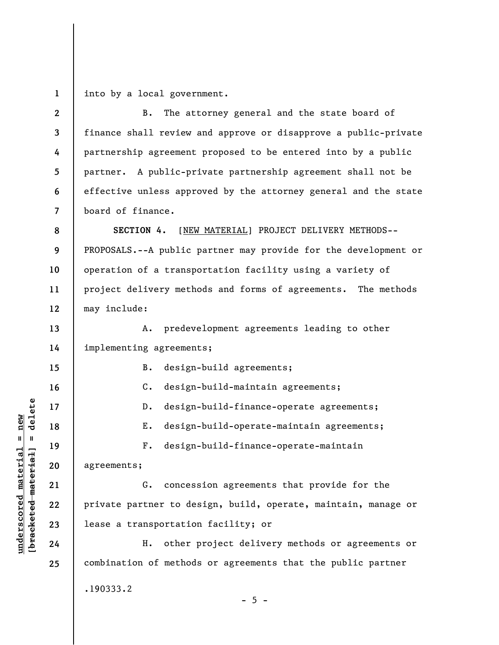**1**  into by a local government.

| $\mathbf{2}$             | The attorney general and the state board of<br><b>B.</b>        |  |  |  |
|--------------------------|-----------------------------------------------------------------|--|--|--|
| 3                        | finance shall review and approve or disapprove a public-private |  |  |  |
| 4                        | partnership agreement proposed to be entered into by a public   |  |  |  |
| 5                        | partner. A public-private partnership agreement shall not be    |  |  |  |
| 6                        | effective unless approved by the attorney general and the state |  |  |  |
| $\overline{\mathcal{L}}$ | board of finance.                                               |  |  |  |
| 8                        | SECTION 4. [NEW MATERIAL] PROJECT DELIVERY METHODS--            |  |  |  |
| 9                        | PROPOSALS.--A public partner may provide for the development or |  |  |  |
| 10                       | operation of a transportation facility using a variety of       |  |  |  |
| 11                       | project delivery methods and forms of agreements. The methods   |  |  |  |
| 12                       | may include:                                                    |  |  |  |
| 13                       | A. predevelopment agreements leading to other                   |  |  |  |
| 14                       | implementing agreements;                                        |  |  |  |
| 15                       | design-build agreements;<br>B.                                  |  |  |  |
| 16                       | design-build-maintain agreements;<br>$\mathsf{C}$ .             |  |  |  |
| 17                       | design-build-finance-operate agreements;<br>$D$ .               |  |  |  |
| 18                       | design-build-operate-maintain agreements;<br>Ε.                 |  |  |  |
| 19                       | design-build-finance-operate-maintain<br>$F$ .                  |  |  |  |
| 20                       | agreements;                                                     |  |  |  |
| 21                       | G. concession agreements that provide for the                   |  |  |  |
| 22                       | private partner to design, build, operate, maintain, manage or  |  |  |  |
| 23                       | lease a transportation facility; or                             |  |  |  |
| 24                       | other project delivery methods or agreements or<br>н.           |  |  |  |
| 25                       | combination of methods or agreements that the public partner    |  |  |  |
|                          | .190333.2                                                       |  |  |  |
|                          |                                                                 |  |  |  |

 $\frac{\text{underscored material} = \text{new}}{(\text{bracketed material})}$ **[bracketed material] = delete underscored material = new**

- 5 -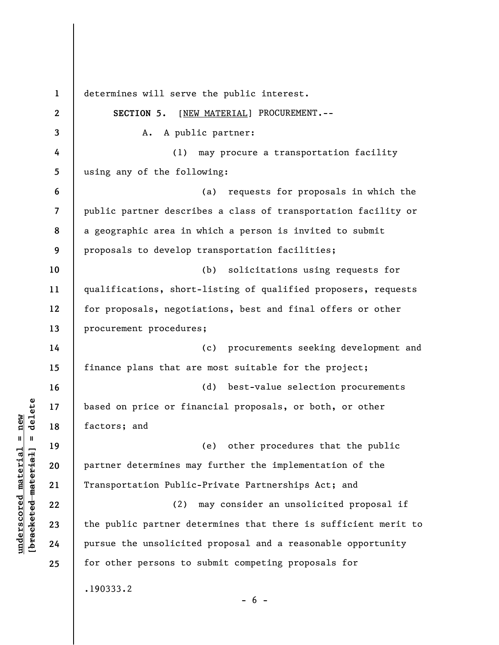**1 2 3 4 5 6 7 8 9 10 11 12 13 14 15 16 17 18 19 20 21 22 23 24 25**  determines will serve the public interest. **SECTION 5.** [NEW MATERIAL] PROCUREMENT.-- A. A public partner: (1) may procure a transportation facility using any of the following: (a) requests for proposals in which the public partner describes a class of transportation facility or a geographic area in which a person is invited to submit proposals to develop transportation facilities; (b) solicitations using requests for qualifications, short-listing of qualified proposers, requests for proposals, negotiations, best and final offers or other procurement procedures; (c) procurements seeking development and finance plans that are most suitable for the project; (d) best-value selection procurements based on price or financial proposals, or both, or other factors; and (e) other procedures that the public partner determines may further the implementation of the Transportation Public-Private Partnerships Act; and (2) may consider an unsolicited proposal if the public partner determines that there is sufficient merit to pursue the unsolicited proposal and a reasonable opportunity for other persons to submit competing proposals for .190333.2  $- 6 -$ 

**underscored material = new [bracketed material] = delete**

 $\frac{1}{2}$  intereted material = delete  $underscored material = new$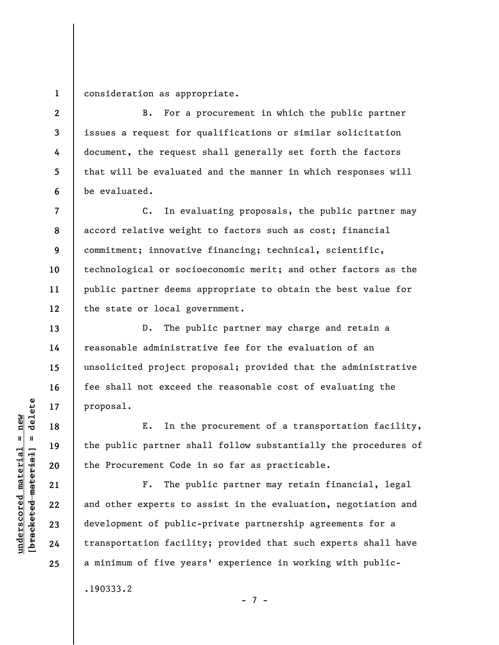**1**  consideration as appropriate.

**2** 

**3** 

**4** 

**5** 

**6** 

**7** 

**8** 

**9** 

**10** 

**11** 

**12** 

**13** 

**14** 

**15** 

**16** 

**17** 

**18** 

**19** 

**20** 

**21** 

**22** 

**23** 

**24** 

**25** 

B. For a procurement in which the public partner issues a request for qualifications or similar solicitation document, the request shall generally set forth the factors that will be evaluated and the manner in which responses will be evaluated.

C. In evaluating proposals, the public partner may accord relative weight to factors such as cost; financial commitment; innovative financing; technical, scientific, technological or socioeconomic merit; and other factors as the public partner deems appropriate to obtain the best value for the state or local government.

D. The public partner may charge and retain a reasonable administrative fee for the evaluation of an unsolicited project proposal; provided that the administrative fee shall not exceed the reasonable cost of evaluating the proposal.

E. In the procurement of a transportation facility, the public partner shall follow substantially the procedures of the Procurement Code in so far as practicable.

F. The public partner may retain financial, legal and other experts to assist in the evaluation, negotiation and development of public-private partnership agreements for a transportation facility; provided that such experts shall have a minimum of five years' experience in working with public-

- 7 -

.190333.2

 $\frac{1}{2}$  of  $\frac{1}{2}$  and  $\frac{1}{2}$  and  $\frac{1}{2}$  and  $\frac{1}{2}$  and  $\frac{1}{2}$  and  $\frac{1}{2}$  and  $\frac{1}{2}$  and  $\frac{1}{2}$  and  $\frac{1}{2}$  and  $\frac{1}{2}$  and  $\frac{1}{2}$  and  $\frac{1}{2}$  and  $\frac{1}{2}$  and  $\frac{1}{2}$  and  $\frac{1}{2}$  an **[bracketed material] = delete**  $underscored material = new$ **underscored material = new**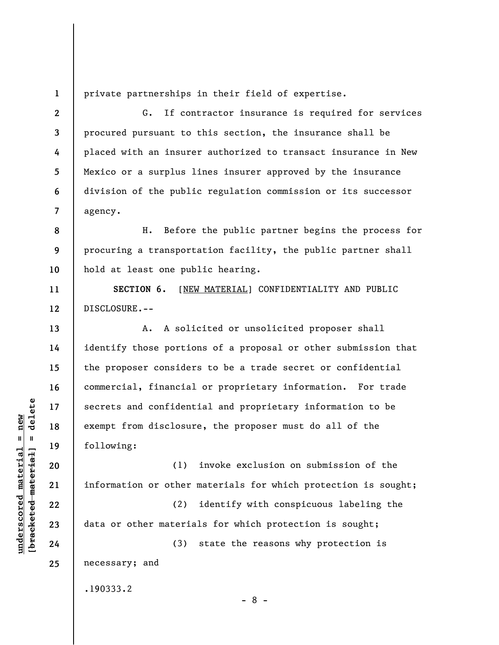private partnerships in their field of expertise.

G. If contractor insurance is required for services procured pursuant to this section, the insurance shall be placed with an insurer authorized to transact insurance in New Mexico or a surplus lines insurer approved by the insurance division of the public regulation commission or its successor agency.

**8 9 10**  H. Before the public partner begins the process for procuring a transportation facility, the public partner shall hold at least one public hearing.

**SECTION 6.** [NEW MATERIAL] CONFIDENTIALITY AND PUBLIC DISCLOSURE.--

A. A solicited or unsolicited proposer shall identify those portions of a proposal or other submission that the proposer considers to be a trade secret or confidential commercial, financial or proprietary information. For trade secrets and confidential and proprietary information to be exempt from disclosure, the proposer must do all of the following:

(1) invoke exclusion on submission of the information or other materials for which protection is sought;

(2) identify with conspicuous labeling the data or other materials for which protection is sought;

(3) state the reasons why protection is necessary; and

.190333.2

- 8 -

 $b$ racketed material] = delete **[bracketed material] = delete**  $underscored material = new$ **underscored material = new**

**1** 

**2** 

**3** 

**4** 

**5** 

**6** 

**7** 

**11** 

**12** 

**13** 

**14** 

**15** 

**16** 

**17** 

**18** 

**19** 

**20** 

**21** 

**22** 

**23** 

**24**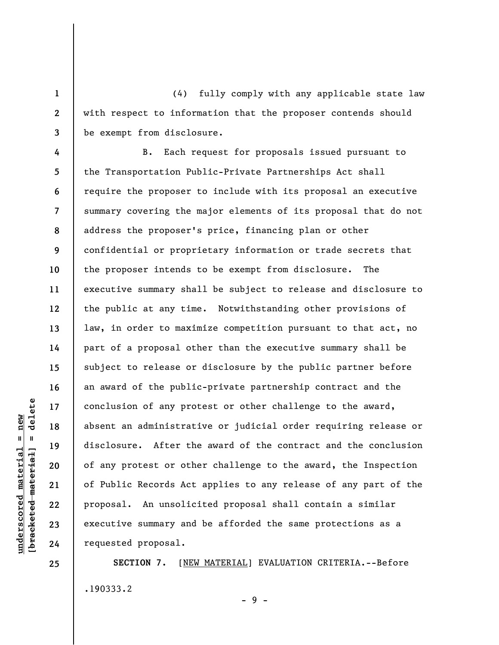(4) fully comply with any applicable state law with respect to information that the proposer contends should be exempt from disclosure.

**4 5 6 7 8 9 10 11 12 13 14 15 16 17 18 19 20 21 22 23 24**  B. Each request for proposals issued pursuant to the Transportation Public-Private Partnerships Act shall require the proposer to include with its proposal an executive summary covering the major elements of its proposal that do not address the proposer's price, financing plan or other confidential or proprietary information or trade secrets that the proposer intends to be exempt from disclosure. The executive summary shall be subject to release and disclosure to the public at any time. Notwithstanding other provisions of law, in order to maximize competition pursuant to that act, no part of a proposal other than the executive summary shall be subject to release or disclosure by the public partner before an award of the public-private partnership contract and the conclusion of any protest or other challenge to the award, absent an administrative or judicial order requiring release or disclosure. After the award of the contract and the conclusion of any protest or other challenge to the award, the Inspection of Public Records Act applies to any release of any part of the proposal. An unsolicited proposal shall contain a similar executive summary and be afforded the same protections as a requested proposal.

**SECTION 7.** [NEW MATERIAL] EVALUATION CRITERIA.--Before .190333.2

- 9 -

**25** 

**1** 

**2**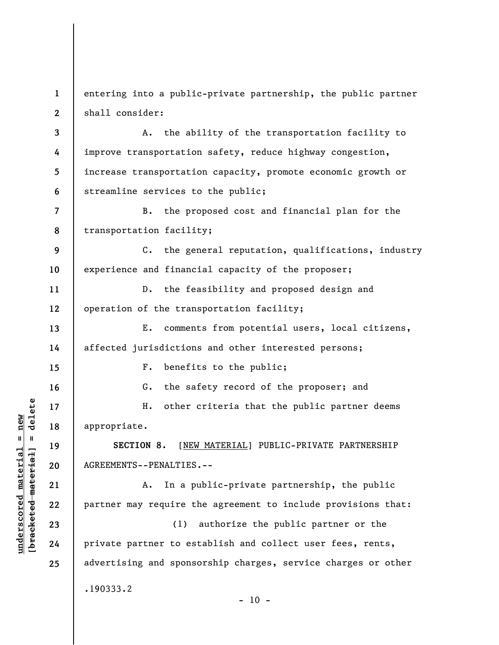**1 2**  entering into a public-private partnership, the public partner shall consider:

**3 4 5 6**  A. the ability of the transportation facility to improve transportation safety, reduce highway congestion, increase transportation capacity, promote economic growth or streamline services to the public;

**7 8**  B. the proposed cost and financial plan for the transportation facility;

**9 10**  C. the general reputation, qualifications, industry experience and financial capacity of the proposer;

**11 12**  D. the feasibility and proposed design and operation of the transportation facility;

**13 14**  E. comments from potential users, local citizens, affected jurisdictions and other interested persons;

F. benefits to the public;

G. the safety record of the proposer; and

H. other criteria that the public partner deems appropriate.

**SECTION 8.** [NEW MATERIAL] PUBLIC-PRIVATE PARTNERSHIP AGREEMENTS--PENALTIES.--

A. In a public-private partnership, the public partner may require the agreement to include provisions that:

(1) authorize the public partner or the private partner to establish and collect user fees, rents, advertising and sponsorship charges, service charges or other .190333.2

 $- 10 -$ 

 $\frac{1}{2}$  intereted material = delete **[bracketed material] = delete**  $anderscored material = new$ **underscored material = new**

**15** 

**16** 

**17** 

**18** 

**19** 

**20** 

**21** 

**22** 

**23** 

**24**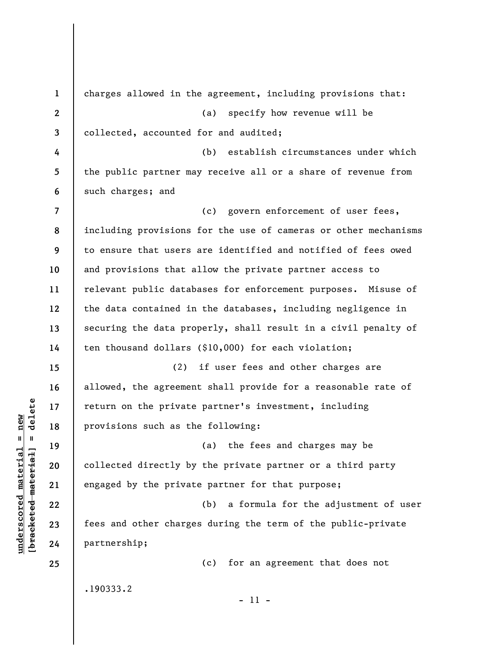**1 2 3 4 5 6 7 8 9 10 11 12 13 14 15 16 17 18 19 20 21 22 23 24 25**  charges allowed in the agreement, including provisions that: (a) specify how revenue will be collected, accounted for and audited; (b) establish circumstances under which the public partner may receive all or a share of revenue from such charges; and (c) govern enforcement of user fees, including provisions for the use of cameras or other mechanisms to ensure that users are identified and notified of fees owed and provisions that allow the private partner access to relevant public databases for enforcement purposes. Misuse of the data contained in the databases, including negligence in securing the data properly, shall result in a civil penalty of ten thousand dollars (\$10,000) for each violation; (2) if user fees and other charges are allowed, the agreement shall provide for a reasonable rate of return on the private partner's investment, including provisions such as the following: (a) the fees and charges may be collected directly by the private partner or a third party engaged by the private partner for that purpose; (b) a formula for the adjustment of user fees and other charges during the term of the public-private partnership; (c) for an agreement that does not .190333.2 - 11 -

**underscored material = new [bracketed material] = delete**

 $\frac{1}{2}$  intereted material = delete  $underscored material = new$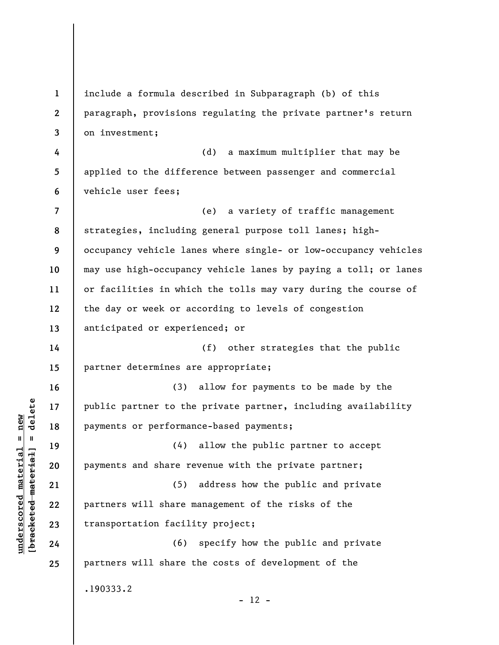**1 2 3 4 5 6 7 8 9 10 11 12 13 14 15 16 17 18 19 20 21 22 23 24 25**  include a formula described in Subparagraph (b) of this paragraph, provisions regulating the private partner's return on investment; (d) a maximum multiplier that may be applied to the difference between passenger and commercial vehicle user fees; (e) a variety of traffic management strategies, including general purpose toll lanes; highoccupancy vehicle lanes where single- or low-occupancy vehicles may use high-occupancy vehicle lanes by paying a toll; or lanes or facilities in which the tolls may vary during the course of the day or week or according to levels of congestion anticipated or experienced; or (f) other strategies that the public partner determines are appropriate; (3) allow for payments to be made by the public partner to the private partner, including availability payments or performance-based payments; (4) allow the public partner to accept payments and share revenue with the private partner; (5) address how the public and private partners will share management of the risks of the transportation facility project; (6) specify how the public and private partners will share the costs of development of the .190333.2  $- 12 -$ 

**underscored material = new [bracketed material] = delete**

 $\frac{1}{2}$  intereted material = delete  $underscored material = new$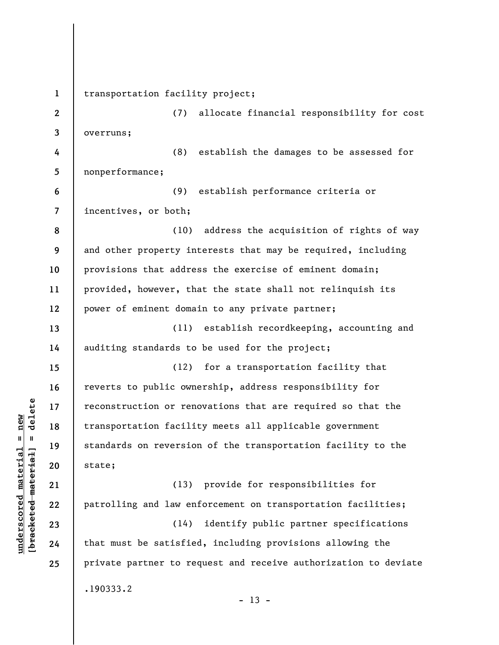**1 2 3 4 5 6 7 8 9 10 11 12 13 14 15 16 17 18 19 20 21 22 23 24 25**  transportation facility project; (7) allocate financial responsibility for cost overruns; (8) establish the damages to be assessed for nonperformance; (9) establish performance criteria or incentives, or both; (10) address the acquisition of rights of way and other property interests that may be required, including provisions that address the exercise of eminent domain; provided, however, that the state shall not relinquish its power of eminent domain to any private partner; (11) establish recordkeeping, accounting and auditing standards to be used for the project; (12) for a transportation facility that reverts to public ownership, address responsibility for reconstruction or renovations that are required so that the transportation facility meets all applicable government standards on reversion of the transportation facility to the state; (13) provide for responsibilities for patrolling and law enforcement on transportation facilities; (14) identify public partner specifications that must be satisfied, including provisions allowing the private partner to request and receive authorization to deviate .190333.2  $- 13 -$ 

 $\frac{1}{2}$  intereted material = delete **[bracketed material] = delete**  $underscored material = new$ **underscored material = new**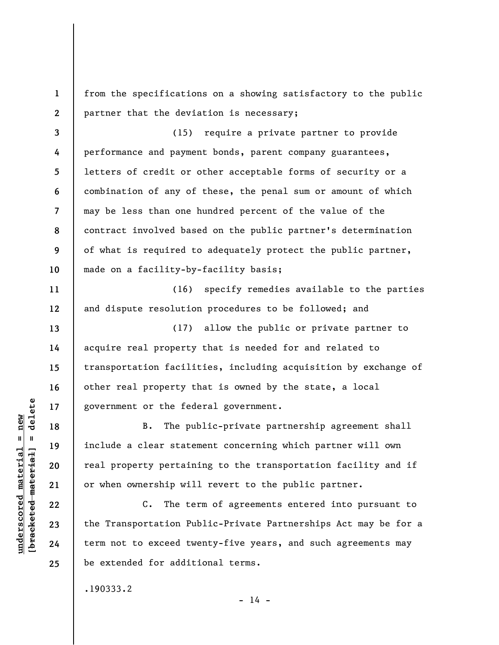from the specifications on a showing satisfactory to the public partner that the deviation is necessary;

**3 4 5 6 7 8 9 10**  (15) require a private partner to provide performance and payment bonds, parent company guarantees, letters of credit or other acceptable forms of security or a combination of any of these, the penal sum or amount of which may be less than one hundred percent of the value of the contract involved based on the public partner's determination of what is required to adequately protect the public partner, made on a facility-by-facility basis;

(16) specify remedies available to the parties and dispute resolution procedures to be followed; and

(17) allow the public or private partner to acquire real property that is needed for and related to transportation facilities, including acquisition by exchange of other real property that is owned by the state, a local government or the federal government.

B. The public-private partnership agreement shall include a clear statement concerning which partner will own real property pertaining to the transportation facility and if or when ownership will revert to the public partner.

C. The term of agreements entered into pursuant to the Transportation Public-Private Partnerships Act may be for a term not to exceed twenty-five years, and such agreements may be extended for additional terms.

 $- 14 -$ 

.190333.2

 $\frac{1}{2}$  of  $\frac{1}{2}$  and  $\frac{1}{2}$  and  $\frac{1}{2}$  and  $\frac{1}{2}$  and  $\frac{1}{2}$  and  $\frac{1}{2}$  and  $\frac{1}{2}$  and  $\frac{1}{2}$  and  $\frac{1}{2}$  and  $\frac{1}{2}$  and  $\frac{1}{2}$  and  $\frac{1}{2}$  and  $\frac{1}{2}$  and  $\frac{1}{2}$  and  $\frac{1}{2}$  an **[bracketed material] = delete**  $anderscored material = new$ **underscored material = new**

**1** 

**2** 

**11** 

**12** 

**13** 

**14** 

**15** 

**16** 

**17** 

**18** 

**19** 

**20** 

**21** 

**22** 

**23** 

**24**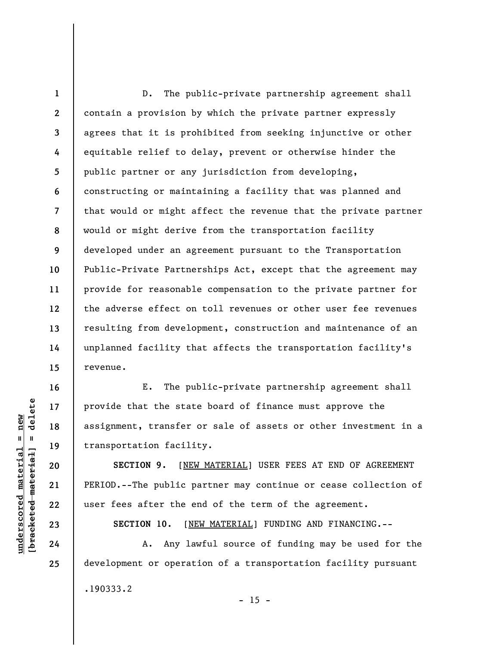**1 2 3 4 5 6 7 8 9 10 11 12 13 14 15**  D. The public-private partnership agreement shall contain a provision by which the private partner expressly agrees that it is prohibited from seeking injunctive or other equitable relief to delay, prevent or otherwise hinder the public partner or any jurisdiction from developing, constructing or maintaining a facility that was planned and that would or might affect the revenue that the private partner would or might derive from the transportation facility developed under an agreement pursuant to the Transportation Public-Private Partnerships Act, except that the agreement may provide for reasonable compensation to the private partner for the adverse effect on toll revenues or other user fee revenues resulting from development, construction and maintenance of an unplanned facility that affects the transportation facility's revenue.

E. The public-private partnership agreement shall provide that the state board of finance must approve the assignment, transfer or sale of assets or other investment in a transportation facility.

**SECTION 9.** [NEW MATERIAL] USER FEES AT END OF AGREEMENT PERIOD.--The public partner may continue or cease collection of user fees after the end of the term of the agreement.

**SECTION 10.** [NEW MATERIAL] FUNDING AND FINANCING.--

A. Any lawful source of funding may be used for the development or operation of a transportation facility pursuant

 $- 15 -$ 

.190333.2

 $\frac{1}{2}$  intereted material = delete **[bracketed material] = delete**  $underscored material = new$ **underscored material = new**

**16** 

**17** 

**18** 

**19** 

**20** 

**21** 

**22** 

**23** 

**24**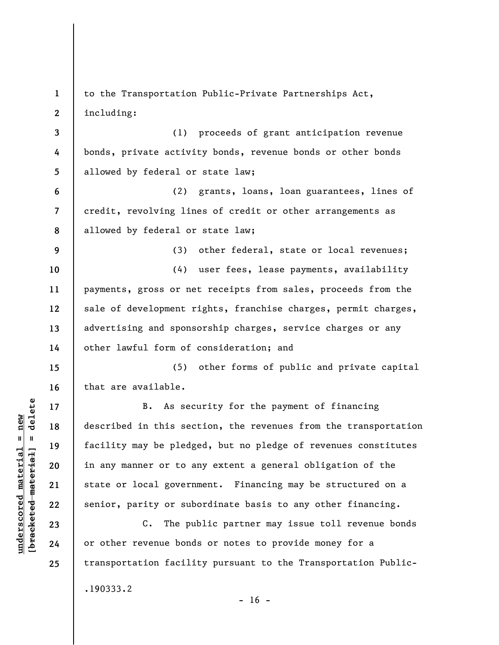**1 2 3 4 5 6 7 8 9 10 11 12 13 14 15 16 17 18 19 20 21 22 23 24 25**  to the Transportation Public-Private Partnerships Act, including: (1) proceeds of grant anticipation revenue bonds, private activity bonds, revenue bonds or other bonds allowed by federal or state law; (2) grants, loans, loan guarantees, lines of credit, revolving lines of credit or other arrangements as allowed by federal or state law; (3) other federal, state or local revenues; (4) user fees, lease payments, availability payments, gross or net receipts from sales, proceeds from the sale of development rights, franchise charges, permit charges, advertising and sponsorship charges, service charges or any other lawful form of consideration; and (5) other forms of public and private capital that are available. B. As security for the payment of financing described in this section, the revenues from the transportation facility may be pledged, but no pledge of revenues constitutes in any manner or to any extent a general obligation of the state or local government. Financing may be structured on a senior, parity or subordinate basis to any other financing. C. The public partner may issue toll revenue bonds or other revenue bonds or notes to provide money for a transportation facility pursuant to the Transportation Public- .190333.2

 $- 16 -$ 

 $\frac{1}{2}$  of  $\frac{1}{2}$  and  $\frac{1}{2}$  and  $\frac{1}{2}$  and  $\frac{1}{2}$  and  $\frac{1}{2}$  and  $\frac{1}{2}$  and  $\frac{1}{2}$  and  $\frac{1}{2}$  and  $\frac{1}{2}$  and  $\frac{1}{2}$  and  $\frac{1}{2}$  and  $\frac{1}{2}$  and  $\frac{1}{2}$  and  $\frac{1}{2}$  and  $\frac{1}{2}$  an **[bracketed material] = delete**  $underscored material = new$ **underscored material = new**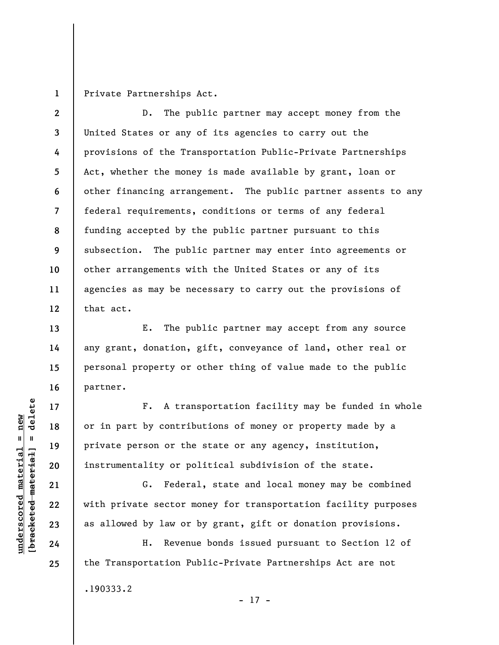**1**  Private Partnerships Act.

**2 3 4 5 6 7 8 9 10 11 12**  D. The public partner may accept money from the United States or any of its agencies to carry out the provisions of the Transportation Public-Private Partnerships Act, whether the money is made available by grant, loan or other financing arrangement. The public partner assents to any federal requirements, conditions or terms of any federal funding accepted by the public partner pursuant to this subsection. The public partner may enter into agreements or other arrangements with the United States or any of its agencies as may be necessary to carry out the provisions of that act.

E. The public partner may accept from any source any grant, donation, gift, conveyance of land, other real or personal property or other thing of value made to the public partner.

F. A transportation facility may be funded in whole or in part by contributions of money or property made by a private person or the state or any agency, institution, instrumentality or political subdivision of the state.

G. Federal, state and local money may be combined with private sector money for transportation facility purposes as allowed by law or by grant, gift or donation provisions.

H. Revenue bonds issued pursuant to Section 12 of the Transportation Public-Private Partnerships Act are not .190333.2

- 17 -

 $\frac{1}{2}$  of  $\frac{1}{2}$  and  $\frac{1}{2}$  and  $\frac{1}{2}$  and  $\frac{1}{2}$  and  $\frac{1}{2}$  and  $\frac{1}{2}$  and  $\frac{1}{2}$  and  $\frac{1}{2}$  and  $\frac{1}{2}$  and  $\frac{1}{2}$  and  $\frac{1}{2}$  and  $\frac{1}{2}$  and  $\frac{1}{2}$  and  $\frac{1}{2}$  and  $\frac{1}{2}$  an **[bracketed material] = delete**  $underscored material = new$ **underscored material = new**

**13** 

**14** 

**15** 

**16** 

**17** 

**18** 

**19** 

**20** 

**21** 

**22** 

**23** 

**24**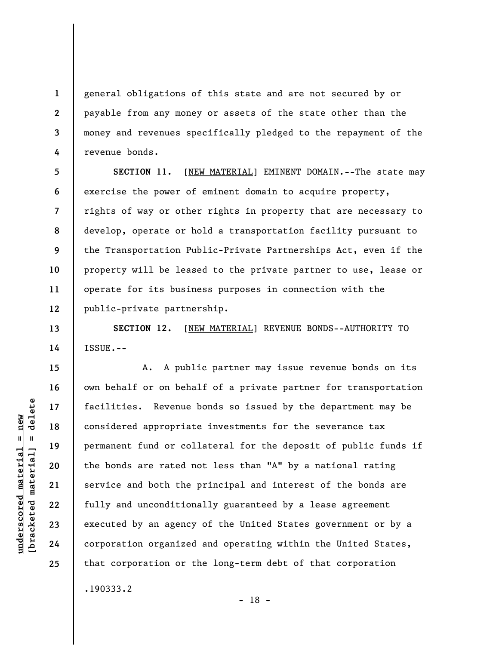general obligations of this state and are not secured by or payable from any money or assets of the state other than the money and revenues specifically pledged to the repayment of the revenue bonds.

**5 6 7 8 9 10 11 12 SECTION 11.** [NEW MATERIAL] EMINENT DOMAIN.--The state may exercise the power of eminent domain to acquire property, rights of way or other rights in property that are necessary to develop, operate or hold a transportation facility pursuant to the Transportation Public-Private Partnerships Act, even if the property will be leased to the private partner to use, lease or operate for its business purposes in connection with the public-private partnership.

**SECTION 12.** [NEW MATERIAL] REVENUE BONDS--AUTHORITY TO ISSUE.--

A. A public partner may issue revenue bonds on its own behalf or on behalf of a private partner for transportation facilities. Revenue bonds so issued by the department may be considered appropriate investments for the severance tax permanent fund or collateral for the deposit of public funds if the bonds are rated not less than "A" by a national rating service and both the principal and interest of the bonds are fully and unconditionally guaranteed by a lease agreement executed by an agency of the United States government or by a corporation organized and operating within the United States, that corporation or the long-term debt of that corporation

- 18 -

**1** 

**2** 

**3** 

**4** 

**13** 

**14** 

**15** 

**16** 

**17** 

**18** 

**19** 

**20** 

**21** 

**22** 

**23** 

**24** 

**25** 

.190333.2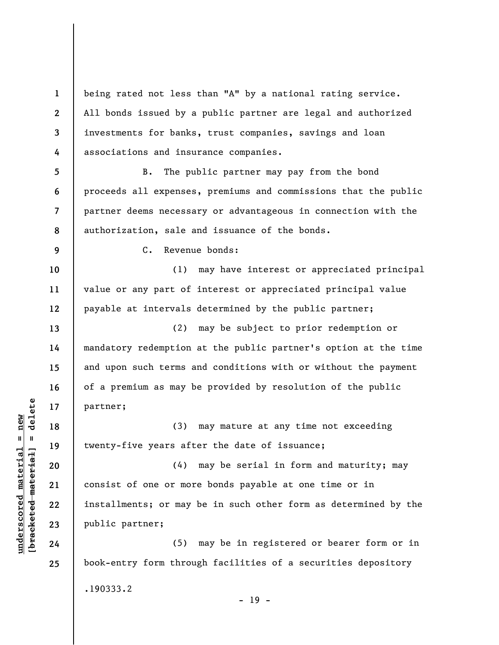**1 2 3 4**  being rated not less than "A" by a national rating service. All bonds issued by a public partner are legal and authorized investments for banks, trust companies, savings and loan associations and insurance companies.

**5 6 7 8**  B. The public partner may pay from the bond proceeds all expenses, premiums and commissions that the public partner deems necessary or advantageous in connection with the authorization, sale and issuance of the bonds.

C. Revenue bonds:

(1) may have interest or appreciated principal value or any part of interest or appreciated principal value payable at intervals determined by the public partner;

(2) may be subject to prior redemption or mandatory redemption at the public partner's option at the time and upon such terms and conditions with or without the payment of a premium as may be provided by resolution of the public partner;

(3) may mature at any time not exceeding twenty-five years after the date of issuance;

(4) may be serial in form and maturity; may consist of one or more bonds payable at one time or in installments; or may be in such other form as determined by the public partner;

(5) may be in registered or bearer form or in book-entry form through facilities of a securities depository .190333.2 - 19 -

 $\frac{1}{2}$  intereted material = delete **[bracketed material] = delete**  $underscored material = new$ **underscored material = new**

**9** 

**10** 

**11** 

**12** 

**13** 

**14** 

**15** 

**16** 

**17** 

**18** 

**19** 

**20** 

**21** 

**22** 

**23** 

**24**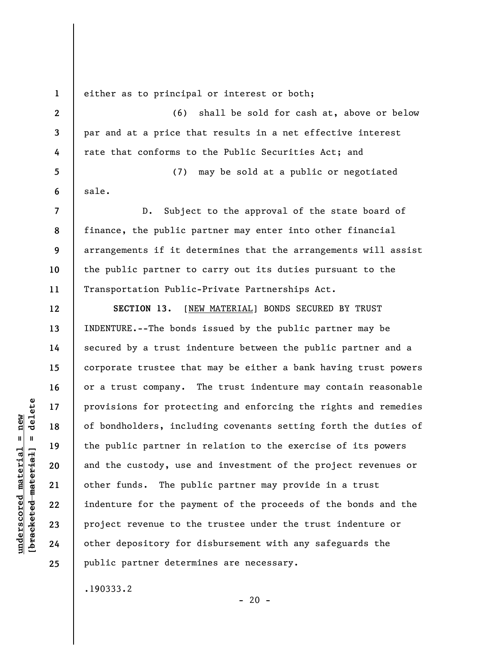**1 2** 

**3** 

**4** 

**12** 

**13** 

**14** 

**15** 

**16** 

**17** 

**18** 

**19** 

**20** 

**21** 

**22** 

**23** 

**24** 

**25** 

either as to principal or interest or both;

(6) shall be sold for cash at, above or below par and at a price that results in a net effective interest rate that conforms to the Public Securities Act; and

**5 6**  (7) may be sold at a public or negotiated sale.

**7 8 9 10 11**  D. Subject to the approval of the state board of finance, the public partner may enter into other financial arrangements if it determines that the arrangements will assist the public partner to carry out its duties pursuant to the Transportation Public-Private Partnerships Act.

SECTION 13. [NEW MATERIAL] BONDS SECURED BY TRUST INDENTURE.--The bonds issued by the public partner may be secured by a trust indenture between the public partner and a corporate trustee that may be either a bank having trust powers or a trust company. The trust indenture may contain reasonable provisions for protecting and enforcing the rights and remedies of bondholders, including covenants setting forth the duties of the public partner in relation to the exercise of its powers and the custody, use and investment of the project revenues or other funds. The public partner may provide in a trust indenture for the payment of the proceeds of the bonds and the project revenue to the trustee under the trust indenture or other depository for disbursement with any safeguards the public partner determines are necessary.

.190333.2

**underscored material = new [bracketed material] = delete**

 $\frac{1}{2}$  of  $\frac{1}{2}$  and  $\frac{1}{2}$  and  $\frac{1}{2}$  and  $\frac{1}{2}$  and  $\frac{1}{2}$  and  $\frac{1}{2}$  and  $\frac{1}{2}$  and  $\frac{1}{2}$  and  $\frac{1}{2}$  and  $\frac{1}{2}$  and  $\frac{1}{2}$  and  $\frac{1}{2}$  and  $\frac{1}{2}$  and  $\frac{1}{2}$  and  $\frac{1}{2}$  an  $underscored material = new$ 

 $- 20 -$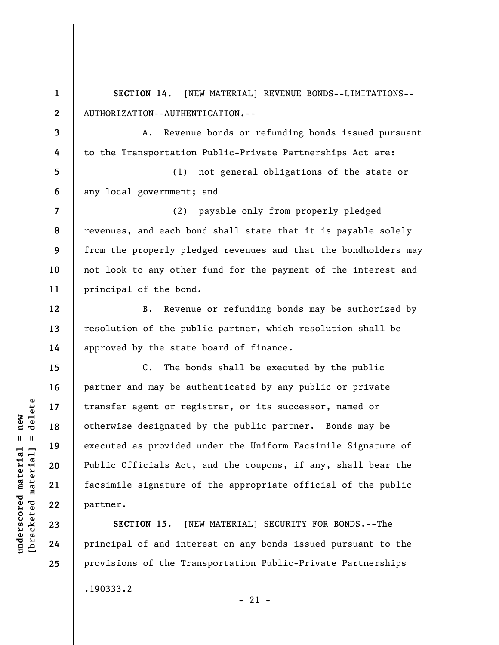**1 2 3 4 5 6 7 8 9 10 11 12 13 14 15 16 17 18 19 20 21 22 23 SECTION 14.** [NEW MATERIAL] REVENUE BONDS--LIMITATIONS-- AUTHORIZATION--AUTHENTICATION.-- A. Revenue bonds or refunding bonds issued pursuant to the Transportation Public-Private Partnerships Act are: (1) not general obligations of the state or any local government; and (2) payable only from properly pledged revenues, and each bond shall state that it is payable solely from the properly pledged revenues and that the bondholders may not look to any other fund for the payment of the interest and principal of the bond. B. Revenue or refunding bonds may be authorized by resolution of the public partner, which resolution shall be approved by the state board of finance. C. The bonds shall be executed by the public partner and may be authenticated by any public or private transfer agent or registrar, or its successor, named or otherwise designated by the public partner. Bonds may be executed as provided under the Uniform Facsimile Signature of Public Officials Act, and the coupons, if any, shall bear the facsimile signature of the appropriate official of the public partner. **SECTION 15.** [NEW MATERIAL] SECURITY FOR BONDS.--The

principal of and interest on any bonds issued pursuant to the provisions of the Transportation Public-Private Partnerships

 $-21 -$ 

.190333.2

 $\frac{1}{2}$  of  $\frac{1}{2}$  and  $\frac{1}{2}$  and  $\frac{1}{2}$  and  $\frac{1}{2}$  and  $\frac{1}{2}$  and  $\frac{1}{2}$  and  $\frac{1}{2}$  and  $\frac{1}{2}$  and  $\frac{1}{2}$  and  $\frac{1}{2}$  and  $\frac{1}{2}$  and  $\frac{1}{2}$  and  $\frac{1}{2}$  and  $\frac{1}{2}$  and  $\frac{1}{2}$  an **[bracketed material] = delete**  $underscored material = new$ **underscored material = new**

**24**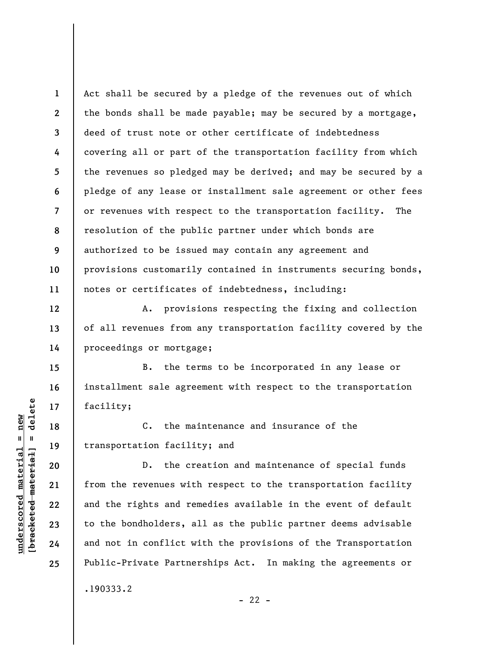**1 2 3 4 5 6 7 8 9 10 11**  Act shall be secured by a pledge of the revenues out of which the bonds shall be made payable; may be secured by a mortgage, deed of trust note or other certificate of indebtedness covering all or part of the transportation facility from which the revenues so pledged may be derived; and may be secured by a pledge of any lease or installment sale agreement or other fees or revenues with respect to the transportation facility. The resolution of the public partner under which bonds are authorized to be issued may contain any agreement and provisions customarily contained in instruments securing bonds, notes or certificates of indebtedness, including:

A. provisions respecting the fixing and collection of all revenues from any transportation facility covered by the proceedings or mortgage;

B. the terms to be incorporated in any lease or installment sale agreement with respect to the transportation facility;

C. the maintenance and insurance of the transportation facility; and

D. the creation and maintenance of special funds from the revenues with respect to the transportation facility and the rights and remedies available in the event of default to the bondholders, all as the public partner deems advisable and not in conflict with the provisions of the Transportation Public-Private Partnerships Act. In making the agreements or .190333.2

 $\frac{1}{2}$  of  $\frac{1}{2}$  and  $\frac{1}{2}$  and  $\frac{1}{2}$  and  $\frac{1}{2}$  and  $\frac{1}{2}$  and  $\frac{1}{2}$  and  $\frac{1}{2}$  and  $\frac{1}{2}$  and  $\frac{1}{2}$  and  $\frac{1}{2}$  and  $\frac{1}{2}$  and  $\frac{1}{2}$  and  $\frac{1}{2}$  and  $\frac{1}{2}$  and  $\frac{1}{2}$  an **[bracketed material] = delete**  $underscored material = new$ **underscored material = new**

**12** 

**13** 

**14** 

**15** 

**16** 

**17** 

**18** 

**19** 

**20** 

**21** 

**22** 

**23** 

**24** 

**25** 

 $- 22 -$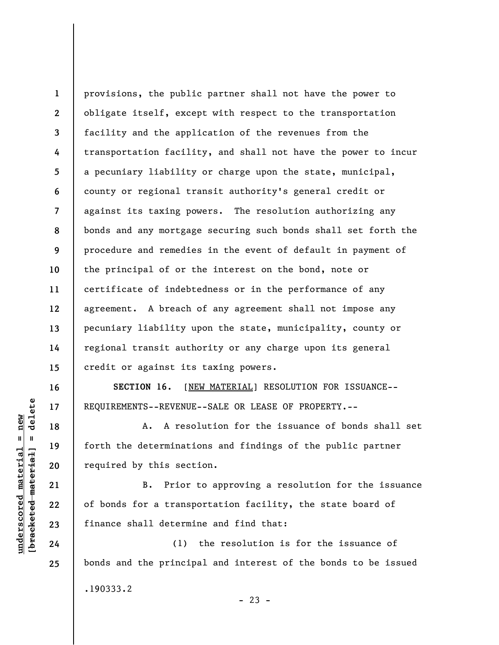**1 2 3 4 5 6 7 8 9 10 11 12 13 14 15**  provisions, the public partner shall not have the power to obligate itself, except with respect to the transportation facility and the application of the revenues from the transportation facility, and shall not have the power to incur a pecuniary liability or charge upon the state, municipal, county or regional transit authority's general credit or against its taxing powers. The resolution authorizing any bonds and any mortgage securing such bonds shall set forth the procedure and remedies in the event of default in payment of the principal of or the interest on the bond, note or certificate of indebtedness or in the performance of any agreement. A breach of any agreement shall not impose any pecuniary liability upon the state, municipality, county or regional transit authority or any charge upon its general credit or against its taxing powers.

**SECTION 16.** [NEW MATERIAL] RESOLUTION FOR ISSUANCE-- REQUIREMENTS--REVENUE--SALE OR LEASE OF PROPERTY.--

A. A resolution for the issuance of bonds shall set forth the determinations and findings of the public partner required by this section.

B. Prior to approving a resolution for the issuance of bonds for a transportation facility, the state board of finance shall determine and find that:

(1) the resolution is for the issuance of bonds and the principal and interest of the bonds to be issued .190333.2  $- 23 -$ 

 $\frac{1}{2}$ **[bracketed material] = delete**  $anderscored material = new$ **underscored material = new**

**16** 

**17** 

**18** 

**19** 

**20** 

**21** 

**22** 

**23** 

**24**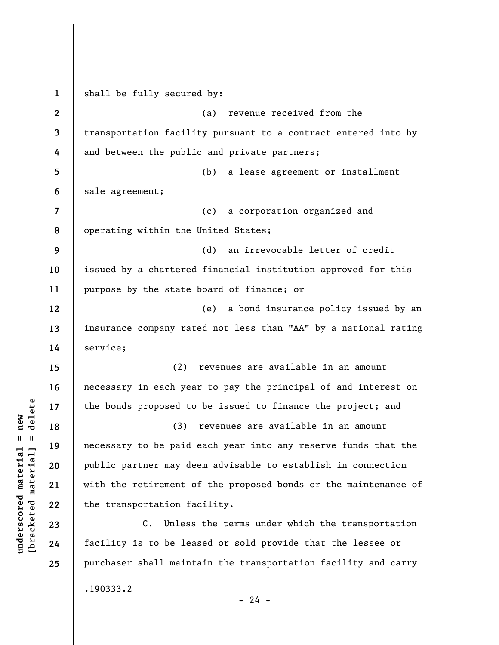**1 2 3 4 5 6 7 8 9 10 11 12 13 14 15 16 17 18 19 20 21 22 23 24 25**  shall be fully secured by: (a) revenue received from the transportation facility pursuant to a contract entered into by and between the public and private partners; (b) a lease agreement or installment sale agreement; (c) a corporation organized and operating within the United States; (d) an irrevocable letter of credit issued by a chartered financial institution approved for this purpose by the state board of finance; or (e) a bond insurance policy issued by an insurance company rated not less than "AA" by a national rating service; (2) revenues are available in an amount necessary in each year to pay the principal of and interest on the bonds proposed to be issued to finance the project; and (3) revenues are available in an amount necessary to be paid each year into any reserve funds that the public partner may deem advisable to establish in connection with the retirement of the proposed bonds or the maintenance of the transportation facility. C. Unless the terms under which the transportation facility is to be leased or sold provide that the lessee or purchaser shall maintain the transportation facility and carry .190333.2  $- 24 -$ 

**underscored material = new [bracketed material] = delete**

 $b$ racketed material] = delete  $underscored material = new$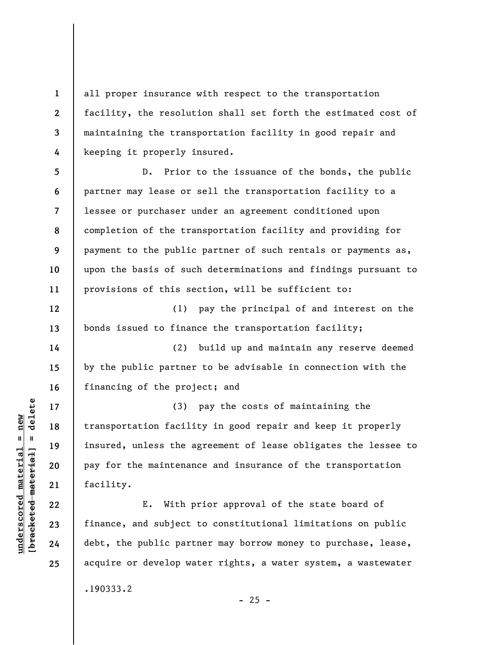all proper insurance with respect to the transportation facility, the resolution shall set forth the estimated cost of maintaining the transportation facility in good repair and keeping it properly insured.

**5 6 7 8 9 10 11**  D. Prior to the issuance of the bonds, the public partner may lease or sell the transportation facility to a lessee or purchaser under an agreement conditioned upon completion of the transportation facility and providing for payment to the public partner of such rentals or payments as, upon the basis of such determinations and findings pursuant to provisions of this section, will be sufficient to:

(1) pay the principal of and interest on the bonds issued to finance the transportation facility;

(2) build up and maintain any reserve deemed by the public partner to be advisable in connection with the financing of the project; and

(3) pay the costs of maintaining the transportation facility in good repair and keep it properly insured, unless the agreement of lease obligates the lessee to pay for the maintenance and insurance of the transportation facility.

E. With prior approval of the state board of finance, and subject to constitutional limitations on public debt, the public partner may borrow money to purchase, lease, acquire or develop water rights, a water system, a wastewater

 $- 25 -$ 

.190333.2

 $\frac{1}{2}$ **[bracketed material] = delete**  $underscored material = new$ **underscored material = new**

**1** 

**2** 

**3** 

**4** 

**12** 

**13** 

**14** 

**15** 

**16** 

**17** 

**18** 

**19** 

**20** 

**21** 

**22** 

**23** 

**24**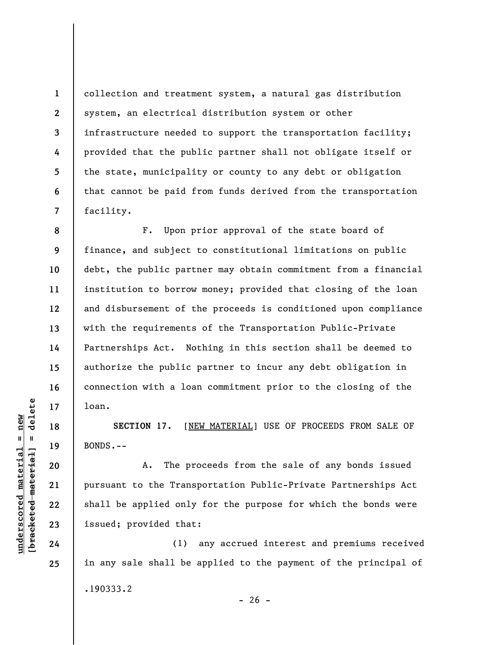collection and treatment system, a natural gas distribution system, an electrical distribution system or other infrastructure needed to support the transportation facility; provided that the public partner shall not obligate itself or the state, municipality or county to any debt or obligation that cannot be paid from funds derived from the transportation facility.

F. Upon prior approval of the state board of finance, and subject to constitutional limitations on public debt, the public partner may obtain commitment from a financial institution to borrow money; provided that closing of the loan and disbursement of the proceeds is conditioned upon compliance with the requirements of the Transportation Public-Private Partnerships Act. Nothing in this section shall be deemed to authorize the public partner to incur any debt obligation in connection with a loan commitment prior to the closing of the loan.

**SECTION 17.** [NEW MATERIAL] USE OF PROCEEDS FROM SALE OF BONDS.--

A. The proceeds from the sale of any bonds issued pursuant to the Transportation Public-Private Partnerships Act shall be applied only for the purpose for which the bonds were issued; provided that:

(1) any accrued interest and premiums received in any sale shall be applied to the payment of the principal of .190333.2  $- 26 -$ 

 $b$ racketed material] = delete **[bracketed material] = delete**  $underscored material = new$ **underscored material = new**

**1** 

**2** 

**3** 

**4** 

**5** 

**6** 

**7** 

**8** 

**9** 

**10** 

**11** 

**12** 

**13** 

**14** 

**15** 

**16** 

**17** 

**18** 

**19** 

**20** 

**21** 

**22** 

**23** 

**24**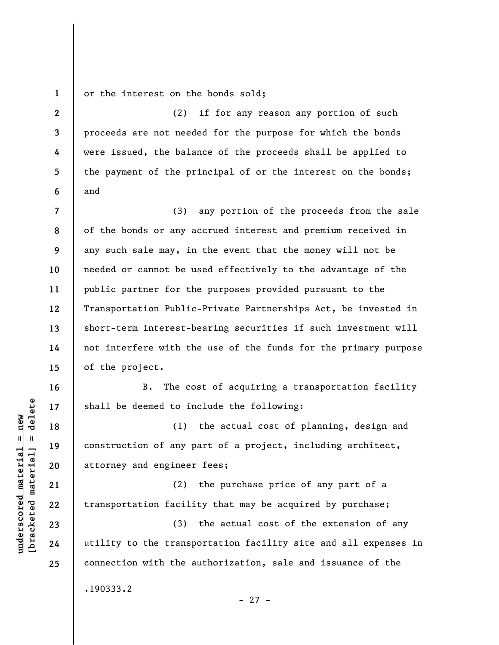**1**  or the interest on the bonds sold;

**2 3 5 6**  (2) if for any reason any portion of such proceeds are not needed for the purpose for which the bonds were issued, the balance of the proceeds shall be applied to the payment of the principal of or the interest on the bonds; and

**7 8 9 10 11 12 13 14 15**  (3) any portion of the proceeds from the sale of the bonds or any accrued interest and premium received in any such sale may, in the event that the money will not be needed or cannot be used effectively to the advantage of the public partner for the purposes provided pursuant to the Transportation Public-Private Partnerships Act, be invested in short-term interest-bearing securities if such investment will not interfere with the use of the funds for the primary purpose of the project.

B. The cost of acquiring a transportation facility shall be deemed to include the following:

(1) the actual cost of planning, design and construction of any part of a project, including architect, attorney and engineer fees;

(2) the purchase price of any part of a transportation facility that may be acquired by purchase;

(3) the actual cost of the extension of any utility to the transportation facility site and all expenses in connection with the authorization, sale and issuance of the

 $- 27 -$ 

.190333.2

 $\frac{1}{2}$  bracketed material = delete **[bracketed material] = delete**  $underscored material = new$ **underscored material = new**

**16** 

**17** 

**18** 

**19** 

**20** 

**21** 

**22** 

**23** 

**24** 

**25**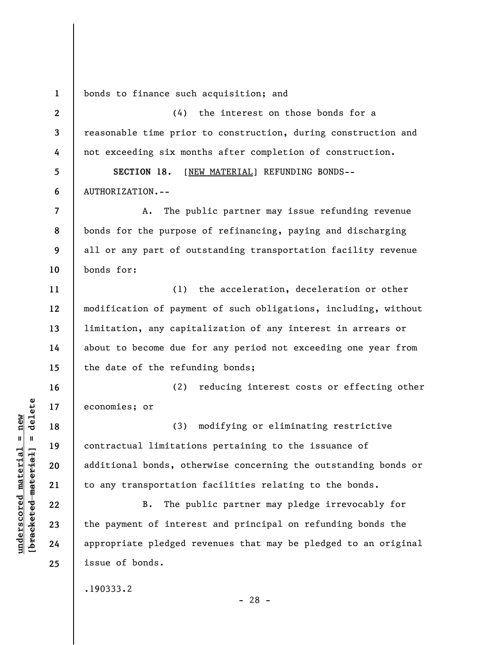**1**  bonds to finance such acquisition; and

**2 3 4 5 6 7 8 9 10 11 12 13 14 15 16 17 18 19 20 21 22 23 24 25**  (4) the interest on those bonds for a reasonable time prior to construction, during construction and not exceeding six months after completion of construction. **SECTION 18.** [NEW MATERIAL] REFUNDING BONDS-- AUTHORIZATION.-- A. The public partner may issue refunding revenue bonds for the purpose of refinancing, paying and discharging all or any part of outstanding transportation facility revenue bonds for: (1) the acceleration, deceleration or other modification of payment of such obligations, including, without limitation, any capitalization of any interest in arrears or about to become due for any period not exceeding one year from the date of the refunding bonds; (2) reducing interest costs or effecting other economies; or (3) modifying or eliminating restrictive contractual limitations pertaining to the issuance of additional bonds, otherwise concerning the outstanding bonds or to any transportation facilities relating to the bonds. B. The public partner may pledge irrevocably for the payment of interest and principal on refunding bonds the appropriate pledged revenues that may be pledged to an original issue of bonds.

.190333.2

 $\frac{1}{2}$  intereted material = delete **[bracketed material] = delete**  $underscored material = new$ **underscored material = new**

- 28 -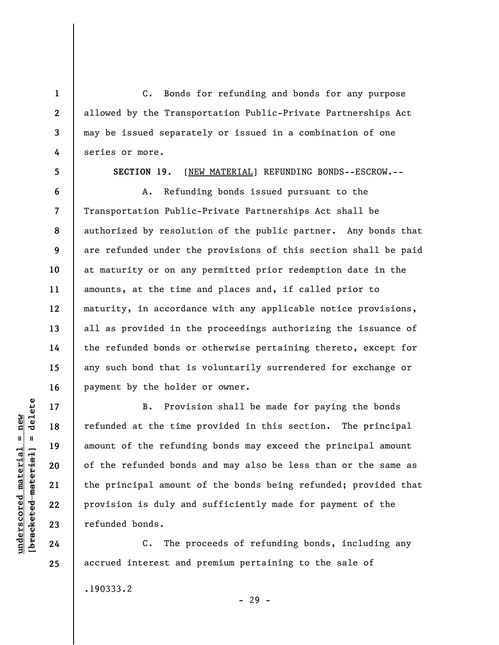C. Bonds for refunding and bonds for any purpose allowed by the Transportation Public-Private Partnerships Act may be issued separately or issued in a combination of one series or more.

**5** 

**6** 

**7** 

**8** 

**9** 

**10** 

**11** 

**12** 

**13** 

**14** 

**15** 

**16** 

**17** 

**18** 

**19** 

**20** 

**21** 

**22** 

**23** 

**24** 

**25** 

**1** 

**2** 

**3** 

**4** 

**SECTION 19.** [NEW MATERIAL] REFUNDING BONDS--ESCROW.--

A. Refunding bonds issued pursuant to the Transportation Public-Private Partnerships Act shall be authorized by resolution of the public partner. Any bonds that are refunded under the provisions of this section shall be paid at maturity or on any permitted prior redemption date in the amounts, at the time and places and, if called prior to maturity, in accordance with any applicable notice provisions, all as provided in the proceedings authorizing the issuance of the refunded bonds or otherwise pertaining thereto, except for any such bond that is voluntarily surrendered for exchange or payment by the holder or owner.

B. Provision shall be made for paying the bonds refunded at the time provided in this section. The principal amount of the refunding bonds may exceed the principal amount of the refunded bonds and may also be less than or the same as the principal amount of the bonds being refunded; provided that provision is duly and sufficiently made for payment of the refunded bonds.

C. The proceeds of refunding bonds, including any accrued interest and premium pertaining to the sale of

.190333.2

- 29 -

 $\frac{1}{2}$  intereted material = delete **[bracketed material] = delete**  $underscored material = new$ **underscored material = new**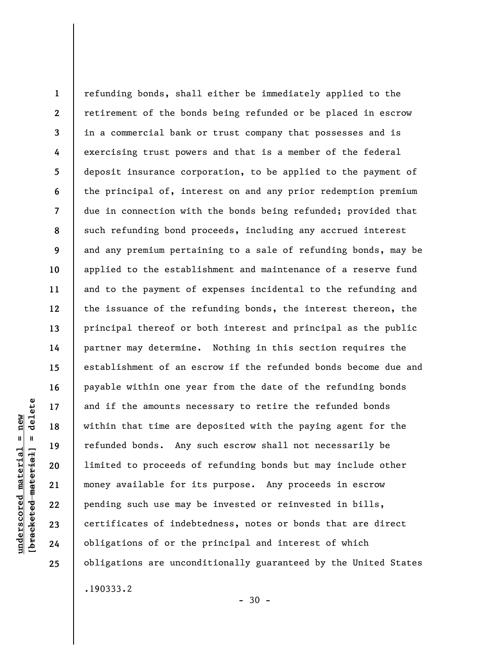**1 2 3 4 5 6 7 8 9 10 11 12 13 14 15 16 17 18 19 20 21 22 23 24 25**  refunding bonds, shall either be immediately applied to the retirement of the bonds being refunded or be placed in escrow in a commercial bank or trust company that possesses and is exercising trust powers and that is a member of the federal deposit insurance corporation, to be applied to the payment of the principal of, interest on and any prior redemption premium due in connection with the bonds being refunded; provided that such refunding bond proceeds, including any accrued interest and any premium pertaining to a sale of refunding bonds, may be applied to the establishment and maintenance of a reserve fund and to the payment of expenses incidental to the refunding and the issuance of the refunding bonds, the interest thereon, the principal thereof or both interest and principal as the public partner may determine. Nothing in this section requires the establishment of an escrow if the refunded bonds become due and payable within one year from the date of the refunding bonds and if the amounts necessary to retire the refunded bonds within that time are deposited with the paying agent for the refunded bonds. Any such escrow shall not necessarily be limited to proceeds of refunding bonds but may include other money available for its purpose. Any proceeds in escrow pending such use may be invested or reinvested in bills, certificates of indebtedness, notes or bonds that are direct obligations of or the principal and interest of which obligations are unconditionally guaranteed by the United States .190333.2

 $-30 -$ 

delete **[bracketed material] = delete**  $underscored material = new$ **underscored material = new**  $\frac{1}{2}$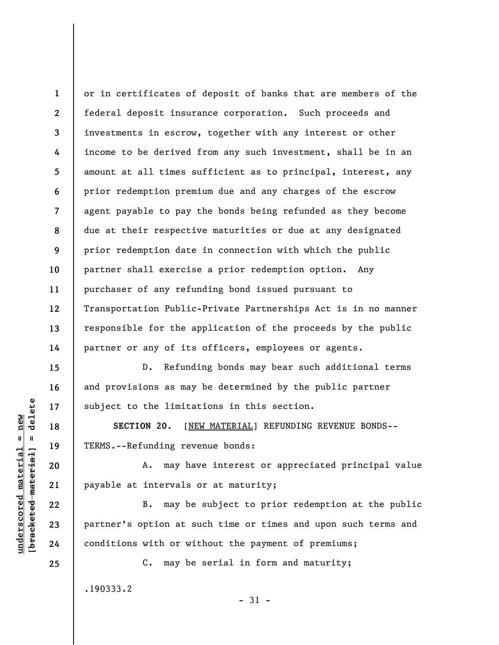**1 2 3 4 5 6 7 8 9 10 11 12 13 14**  or in certificates of deposit of banks that are members of the federal deposit insurance corporation. Such proceeds and investments in escrow, together with any interest or other income to be derived from any such investment, shall be in an amount at all times sufficient as to principal, interest, any prior redemption premium due and any charges of the escrow agent payable to pay the bonds being refunded as they become due at their respective maturities or due at any designated prior redemption date in connection with which the public partner shall exercise a prior redemption option. Any purchaser of any refunding bond issued pursuant to Transportation Public-Private Partnerships Act is in no manner responsible for the application of the proceeds by the public partner or any of its officers, employees or agents.

D. Refunding bonds may bear such additional terms and provisions as may be determined by the public partner subject to the limitations in this section.

**SECTION 20.** [NEW MATERIAL] REFUNDING REVENUE BONDS-- TERMS.--Refunding revenue bonds:

A. may have interest or appreciated principal value payable at intervals or at maturity;

B. may be subject to prior redemption at the public partner's option at such time or times and upon such terms and conditions with or without the payment of premiums;

C. may be serial in form and maturity;

.190333.2

 $\frac{1}{2}$  bracketed material = delete **[bracketed material] = delete**  $underscored material = new$ **underscored material = new**

**15** 

**16** 

**17** 

**18** 

**19** 

**20** 

**21** 

**22** 

**23** 

**24**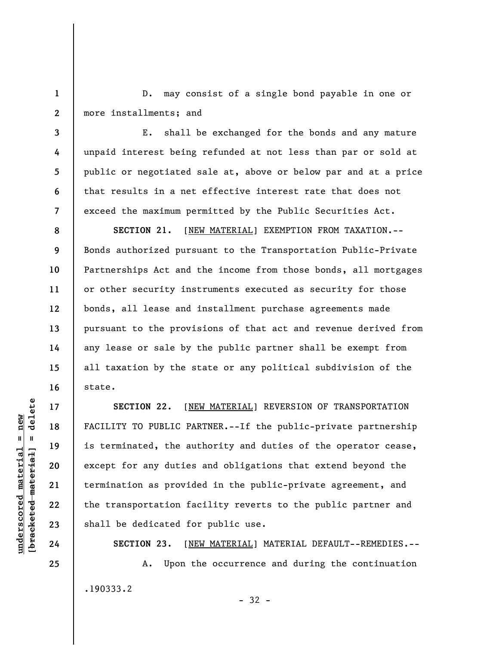D. may consist of a single bond payable in one or more installments; and

E. shall be exchanged for the bonds and any mature unpaid interest being refunded at not less than par or sold at public or negotiated sale at, above or below par and at a price that results in a net effective interest rate that does not exceed the maximum permitted by the Public Securities Act.

**SECTION 21.** [NEW MATERIAL] EXEMPTION FROM TAXATION.-- Bonds authorized pursuant to the Transportation Public-Private Partnerships Act and the income from those bonds, all mortgages or other security instruments executed as security for those bonds, all lease and installment purchase agreements made pursuant to the provisions of that act and revenue derived from any lease or sale by the public partner shall be exempt from all taxation by the state or any political subdivision of the state.

**SECTION 22.** [NEW MATERIAL] REVERSION OF TRANSPORTATION FACILITY TO PUBLIC PARTNER.--If the public-private partnership is terminated, the authority and duties of the operator cease, except for any duties and obligations that extend beyond the termination as provided in the public-private agreement, and the transportation facility reverts to the public partner and shall be dedicated for public use.

**SECTION 23.** [NEW MATERIAL] MATERIAL DEFAULT--REMEDIES.-- A. Upon the occurrence and during the continuation .190333.2

 $\frac{1}{2}$  bracketed material = delete **[bracketed material] = delete**  $underscored material = new$ **underscored material = new**

**1** 

**2** 

**3** 

**4** 

**5** 

**6** 

**7** 

**8** 

**9** 

**10** 

**11** 

**12** 

**13** 

**14** 

**15** 

**16** 

**17** 

**18** 

**19** 

**20** 

**21** 

**22** 

**23** 

**24**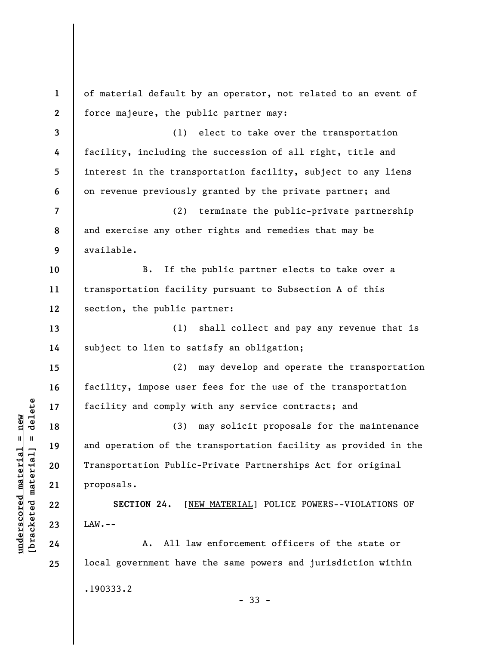**1 2 3 4 5 6 7 8 9 10 11 12 13 14 15 16 17 18 19 20 21 22 23 24 25**  of material default by an operator, not related to an event of force majeure, the public partner may: (1) elect to take over the transportation facility, including the succession of all right, title and interest in the transportation facility, subject to any liens on revenue previously granted by the private partner; and (2) terminate the public-private partnership and exercise any other rights and remedies that may be available. B. If the public partner elects to take over a transportation facility pursuant to Subsection A of this section, the public partner: (1) shall collect and pay any revenue that is subject to lien to satisfy an obligation; (2) may develop and operate the transportation facility, impose user fees for the use of the transportation facility and comply with any service contracts; and (3) may solicit proposals for the maintenance and operation of the transportation facility as provided in the Transportation Public-Private Partnerships Act for original proposals. **SECTION 24.** [NEW MATERIAL] POLICE POWERS--VIOLATIONS OF  $LAW$ .  $-$ A. All law enforcement officers of the state or local government have the same powers and jurisdiction within .190333.2 - 33 -

 $\frac{1}{2}$  intereted material = delete **[bracketed material] = delete**  $underscored material = new$ **underscored material = new**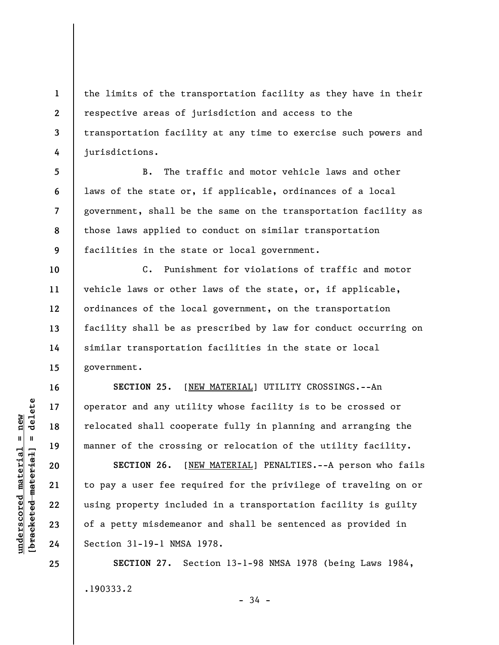**1 2 3 4**  the limits of the transportation facility as they have in their respective areas of jurisdiction and access to the transportation facility at any time to exercise such powers and jurisdictions.

**5 6 7 8 9**  B. The traffic and motor vehicle laws and other laws of the state or, if applicable, ordinances of a local government, shall be the same on the transportation facility as those laws applied to conduct on similar transportation facilities in the state or local government.

**10 11 12 13 14 15**  C. Punishment for violations of traffic and motor vehicle laws or other laws of the state, or, if applicable, ordinances of the local government, on the transportation facility shall be as prescribed by law for conduct occurring on similar transportation facilities in the state or local government.

**SECTION 25.** [NEW MATERIAL] UTILITY CROSSINGS.--An operator and any utility whose facility is to be crossed or relocated shall cooperate fully in planning and arranging the manner of the crossing or relocation of the utility facility.

**SECTION 26.** [NEW MATERIAL] PENALTIES.--A person who fails to pay a user fee required for the privilege of traveling on or using property included in a transportation facility is guilty of a petty misdemeanor and shall be sentenced as provided in Section 31-19-1 NMSA 1978.

**SECTION 27.** Section 13-1-98 NMSA 1978 (being Laws 1984, .190333.2

- 34 -

**16** 

**17** 

**18** 

**19** 

**20** 

**21** 

**22** 

**23** 

**24**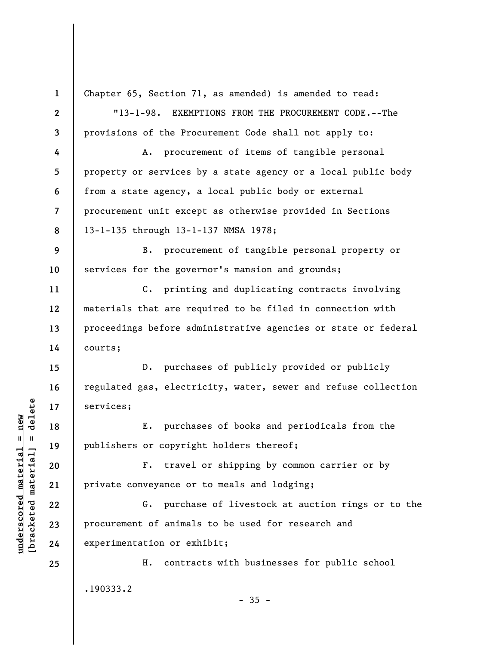**1 2 3 4 5 6 7 8 9 10 11 12 13 14 15 16 17 18 19 20 21 22 23 24 25**  Chapter 65, Section 71, as amended) is amended to read: "13-1-98. EXEMPTIONS FROM THE PROCUREMENT CODE.--The provisions of the Procurement Code shall not apply to: A. procurement of items of tangible personal property or services by a state agency or a local public body from a state agency, a local public body or external procurement unit except as otherwise provided in Sections 13-1-135 through 13-1-137 NMSA 1978; B. procurement of tangible personal property or services for the governor's mansion and grounds; C. printing and duplicating contracts involving materials that are required to be filed in connection with proceedings before administrative agencies or state or federal courts; D. purchases of publicly provided or publicly regulated gas, electricity, water, sewer and refuse collection services; E. purchases of books and periodicals from the publishers or copyright holders thereof; F. travel or shipping by common carrier or by private conveyance or to meals and lodging; G. purchase of livestock at auction rings or to the procurement of animals to be used for research and experimentation or exhibit; H. contracts with businesses for public school .190333.2  $-35 -$ 

**underscored material = new [bracketed material] = delete**

 $\frac{1}{2}$  $underscored material = new$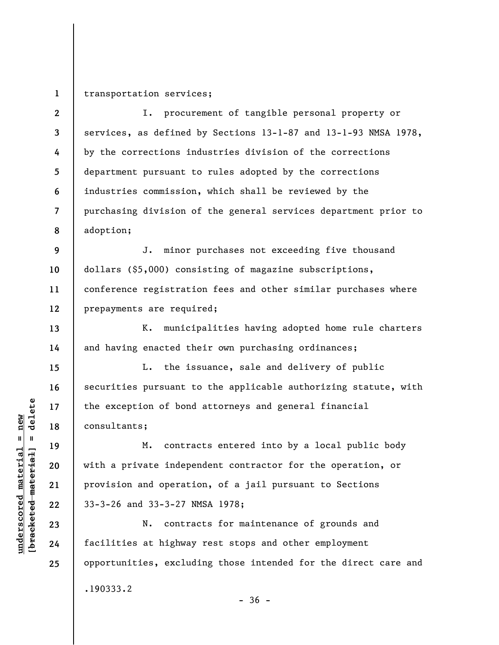**1**  transportation services;

**2 3 4 5 6 7 8**  I. procurement of tangible personal property or services, as defined by Sections 13-1-87 and 13-1-93 NMSA 1978, by the corrections industries division of the corrections department pursuant to rules adopted by the corrections industries commission, which shall be reviewed by the purchasing division of the general services department prior to adoption;

**9 10 11 12**  J. minor purchases not exceeding five thousand dollars (\$5,000) consisting of magazine subscriptions, conference registration fees and other similar purchases where prepayments are required;

K. municipalities having adopted home rule charters and having enacted their own purchasing ordinances;

L. the issuance, sale and delivery of public securities pursuant to the applicable authorizing statute, with the exception of bond attorneys and general financial consultants;

M. contracts entered into by a local public body with a private independent contractor for the operation, or provision and operation, of a jail pursuant to Sections 33-3-26 and 33-3-27 NMSA 1978;

N. contracts for maintenance of grounds and facilities at highway rest stops and other employment opportunities, excluding those intended for the direct care and .190333.2  $-36 -$ 

**13** 

**14** 

**15** 

**16** 

**17** 

**18** 

**19** 

**20** 

**21** 

**22** 

**23** 

**24**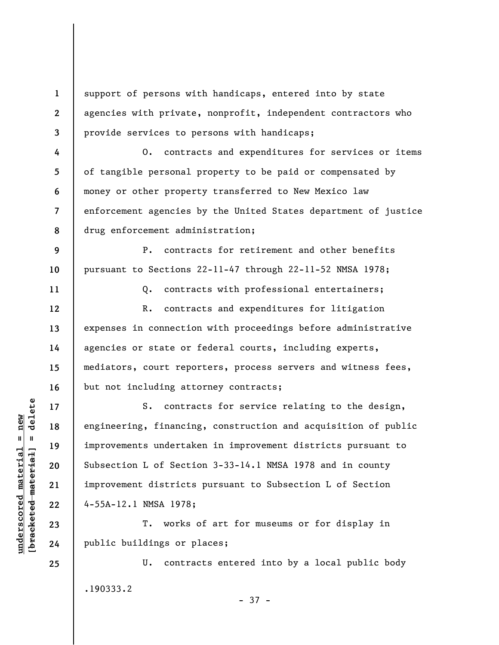support of persons with handicaps, entered into by state agencies with private, nonprofit, independent contractors who provide services to persons with handicaps;

O. contracts and expenditures for services or items of tangible personal property to be paid or compensated by money or other property transferred to New Mexico law enforcement agencies by the United States department of justice drug enforcement administration;

P. contracts for retirement and other benefits pursuant to Sections 22-11-47 through 22-11-52 NMSA 1978;

**11** 

**12** 

**13** 

**14** 

**15** 

**16** 

**17** 

**18** 

**19** 

**20** 

**21** 

**22** 

**23** 

**24** 

**25** 

**10** 

**1** 

**2** 

**3** 

**4** 

**5** 

**6** 

**7** 

**8** 

**9** 

Q. contracts with professional entertainers; R. contracts and expenditures for litigation expenses in connection with proceedings before administrative

agencies or state or federal courts, including experts, mediators, court reporters, process servers and witness fees, but not including attorney contracts;

S. contracts for service relating to the design, engineering, financing, construction and acquisition of public improvements undertaken in improvement districts pursuant to Subsection L of Section 3-33-14.1 NMSA 1978 and in county improvement districts pursuant to Subsection L of Section 4-55A-12.1 NMSA 1978;

T. works of art for museums or for display in public buildings or places;

U. contracts entered into by a local public body .190333.2 - 37 -

 $b$ racketed material] = delete **[bracketed material] = delete**  $underscored material = new$ **underscored material = new**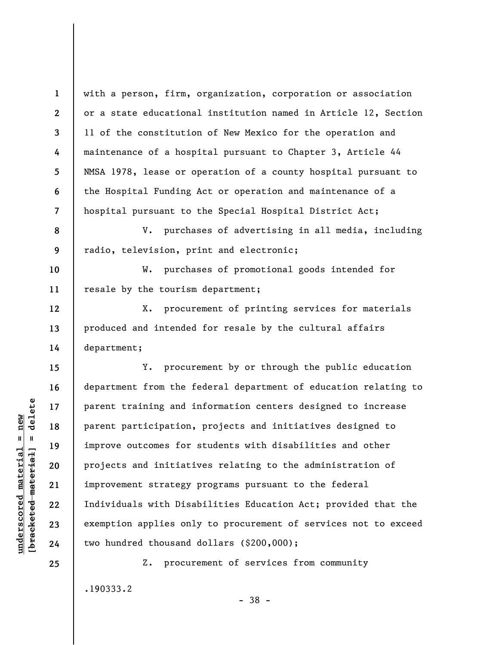with a person, firm, organization, corporation or association or a state educational institution named in Article 12, Section 11 of the constitution of New Mexico for the operation and maintenance of a hospital pursuant to Chapter 3, Article 44 NMSA 1978, lease or operation of a county hospital pursuant to the Hospital Funding Act or operation and maintenance of a hospital pursuant to the Special Hospital District Act;

**8 9**  V. purchases of advertising in all media, including radio, television, print and electronic;

W. purchases of promotional goods intended for resale by the tourism department;

X. procurement of printing services for materials produced and intended for resale by the cultural affairs department;

Y. procurement by or through the public education department from the federal department of education relating to parent training and information centers designed to increase parent participation, projects and initiatives designed to improve outcomes for students with disabilities and other projects and initiatives relating to the administration of improvement strategy programs pursuant to the federal Individuals with Disabilities Education Act; provided that the exemption applies only to procurement of services not to exceed two hundred thousand dollars (\$200,000);

Z. procurement of services from community

- 38 -

.190333.2

 $b$ racketed material] = delete **[bracketed material] = delete**  $underscored material = new$ **underscored material = new**

**1** 

**2** 

**3** 

**4** 

**5** 

**6** 

**7** 

**10** 

**11** 

**12** 

**13** 

**14** 

**15** 

**16** 

**17** 

**18** 

**19** 

**20** 

**21** 

**22** 

**23** 

**24**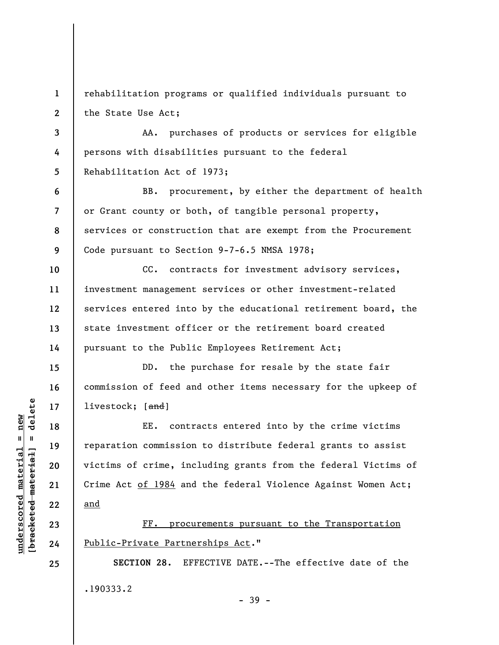**1 2**  rehabilitation programs or qualified individuals pursuant to the State Use Act;

**3 4 5**  AA. purchases of products or services for eligible persons with disabilities pursuant to the federal Rehabilitation Act of 1973;

**6 7 8 9**  BB. procurement, by either the department of health or Grant county or both, of tangible personal property, services or construction that are exempt from the Procurement Code pursuant to Section 9-7-6.5 NMSA 1978;

**10 11 12 13 14**  CC. contracts for investment advisory services, investment management services or other investment-related services entered into by the educational retirement board, the state investment officer or the retirement board created pursuant to the Public Employees Retirement Act;

DD. the purchase for resale by the state fair commission of feed and other items necessary for the upkeep of livestock: [and]

EE. contracts entered into by the crime victims reparation commission to distribute federal grants to assist victims of crime, including grants from the federal Victims of Crime Act of 1984 and the federal Violence Against Women Act; and

FF. procurements pursuant to the Transportation Public-Private Partnerships Act."

**SECTION 28.** EFFECTIVE DATE.--The effective date of the .190333.2 - 39 -

 $\frac{1}{2}$  intereted material = delete **[bracketed material] = delete**  $underscored material = new$ **underscored material = new**

**25** 

**15** 

**16** 

**17** 

**18** 

**19** 

**20** 

**21** 

**22** 

**23**